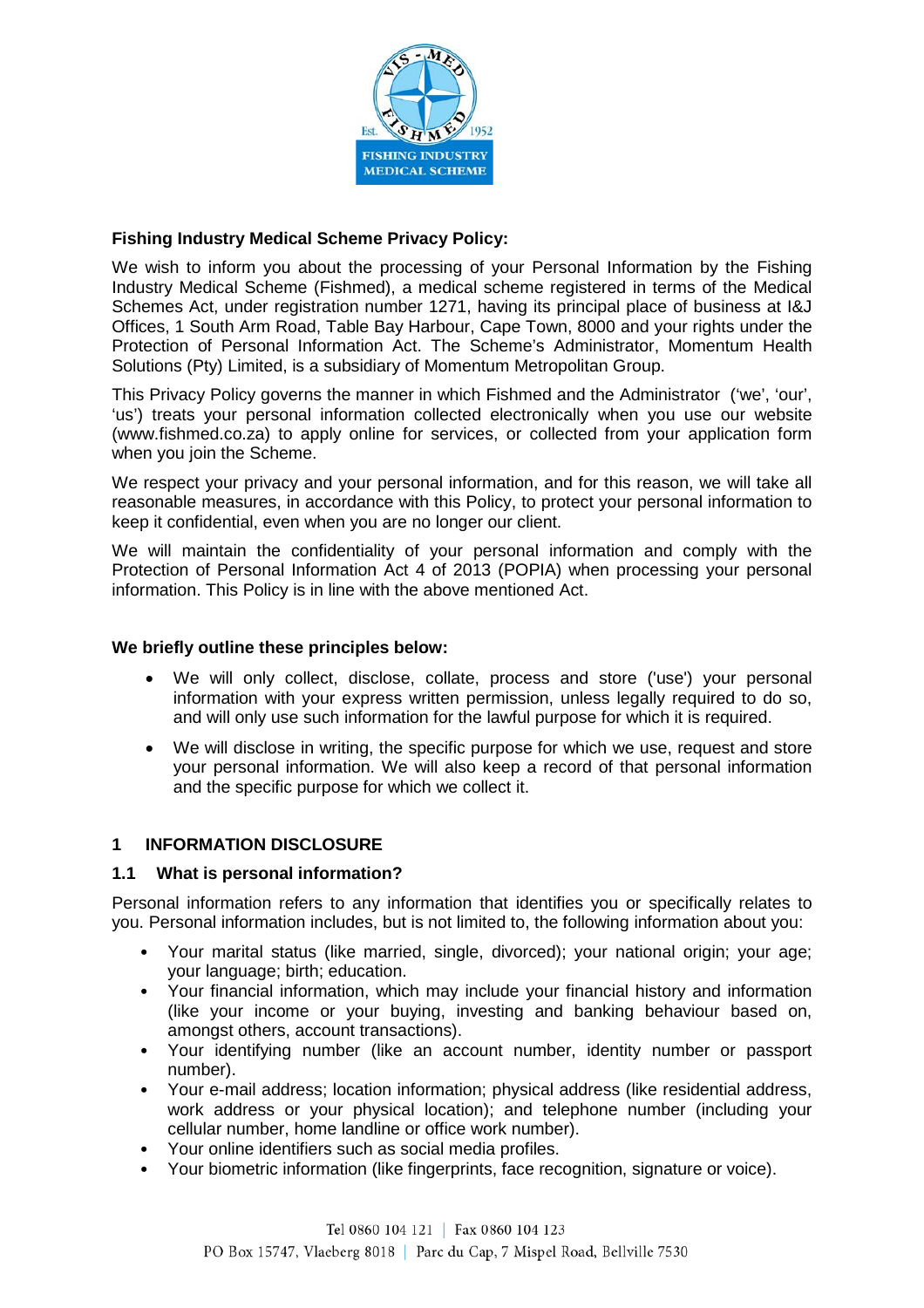

## **Fishing Industry Medical Scheme Privacy Policy:**

We wish to inform you about the processing of your Personal Information by the Fishing Industry Medical Scheme (Fishmed), a medical scheme registered in terms of the Medical Schemes Act, under registration number 1271, having its principal place of business at I&J Offices, 1 South Arm Road, Table Bay Harbour, Cape Town, 8000 and your rights under the Protection of Personal Information Act. The Scheme's Administrator, Momentum Health Solutions (Pty) Limited, is a subsidiary of Momentum Metropolitan Group.

This Privacy Policy governs the manner in which Fishmed and the Administrator ('we', 'our', 'us') treats your personal information collected electronically when you use our website (www.fishmed.co.za) to apply online for services, or collected from your application form when you join the Scheme.

We respect your privacy and your personal information, and for this reason, we will take all reasonable measures, in accordance with this Policy, to protect your personal information to keep it confidential, even when you are no longer our client.

We will maintain the confidentiality of your personal information and comply with the Protection of Personal Information Act 4 of 2013 (POPIA) when processing your personal information. This Policy is in line with the above mentioned Act.

### **We briefly outline these principles below:**

- We will only collect, disclose, collate, process and store ('use') your personal information with your express written permission, unless legally required to do so, and will only use such information for the lawful purpose for which it is required.
- We will disclose in writing, the specific purpose for which we use, request and store your personal information. We will also keep a record of that personal information and the specific purpose for which we collect it.

### **1 INFORMATION DISCLOSURE**

### **1.1 What is personal information?**

Personal information refers to any information that identifies you or specifically relates to you. Personal information includes, but is not limited to, the following information about you:

- Your marital status (like married, single, divorced); your national origin; your age; your language; birth; education.
- Your financial information, which may include your financial history and information (like your income or your buying, investing and banking behaviour based on, amongst others, account transactions).
- Your identifying number (like an account number, identity number or passport number).
- Your e-mail address; location information; physical address (like residential address, work address or your physical location); and telephone number (including your cellular number, home landline or office work number).
- Your online identifiers such as social media profiles.
- Your biometric information (like fingerprints, face recognition, signature or voice).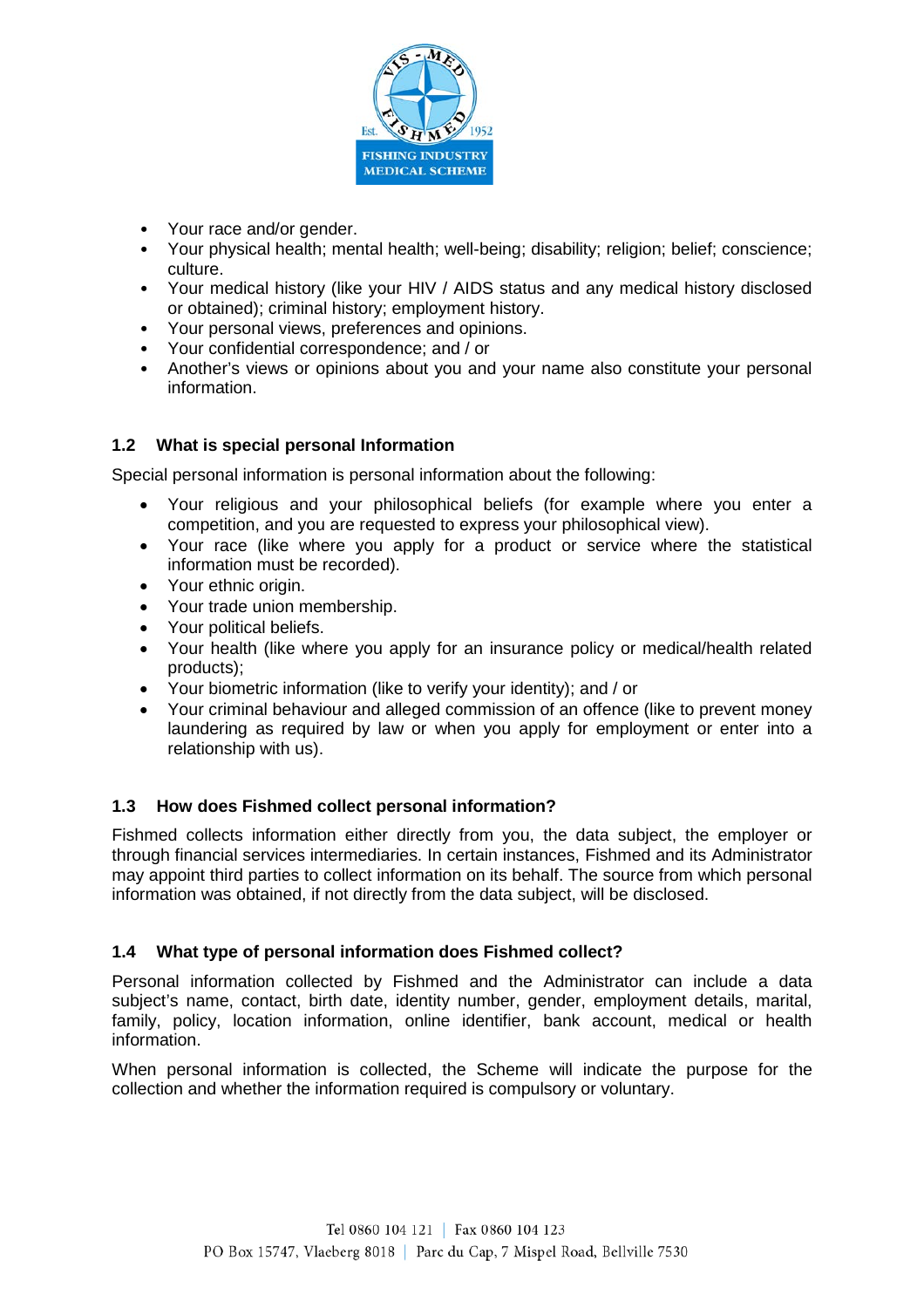

- Your race and/or gender.
- Your physical health; mental health; well-being; disability; religion; belief; conscience; culture.
- Your medical history (like your HIV / AIDS status and any medical history disclosed or obtained); criminal history; employment history.
- Your personal views, preferences and opinions.
- Your confidential correspondence; and / or
- Another's views or opinions about you and your name also constitute your personal information.

# **1.2 What is special personal Information**

Special personal information is personal information about the following:

- Your religious and your philosophical beliefs (for example where you enter a competition, and you are requested to express your philosophical view).
- Your race (like where you apply for a product or service where the statistical information must be recorded).
- Your ethnic origin.
- Your trade union membership.
- Your political beliefs.
- Your health (like where you apply for an insurance policy or medical/health related products);
- Your biometric information (like to verify your identity); and / or
- Your criminal behaviour and alleged commission of an offence (like to prevent money laundering as required by law or when you apply for employment or enter into a relationship with us).

# **1.3 How does Fishmed collect personal information?**

Fishmed collects information either directly from you, the data subject, the employer or through financial services intermediaries. In certain instances, Fishmed and its Administrator may appoint third parties to collect information on its behalf. The source from which personal information was obtained, if not directly from the data subject, will be disclosed.

# **1.4 What type of personal information does Fishmed collect?**

Personal information collected by Fishmed and the Administrator can include a data subject's name, contact, birth date, identity number, gender, employment details, marital, family, policy, location information, online identifier, bank account, medical or health information.

When personal information is collected, the Scheme will indicate the purpose for the collection and whether the information required is compulsory or voluntary.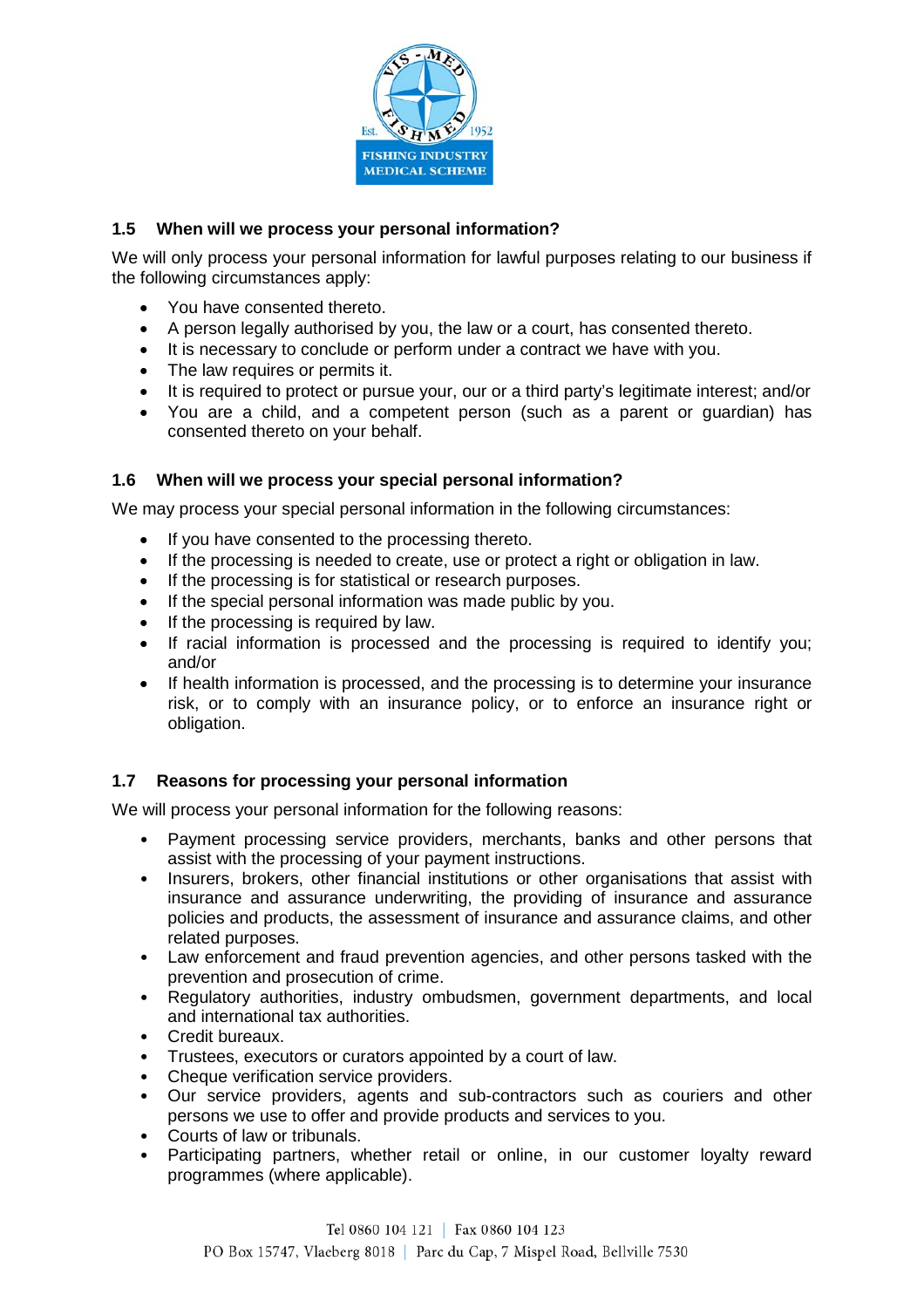

# **1.5 When will we process your personal information?**

We will only process your personal information for lawful purposes relating to our business if the following circumstances apply:

- You have consented thereto.
- A person legally authorised by you, the law or a court, has consented thereto.
- It is necessary to conclude or perform under a contract we have with you.
- The law requires or permits it.
- It is required to protect or pursue your, our or a third party's legitimate interest; and/or
- You are a child, and a competent person (such as a parent or guardian) has consented thereto on your behalf.

### **1.6 When will we process your special personal information?**

We may process your special personal information in the following circumstances:

- If you have consented to the processing thereto.
- If the processing is needed to create, use or protect a right or obligation in law.
- If the processing is for statistical or research purposes.
- If the special personal information was made public by you.
- If the processing is required by law.
- If racial information is processed and the processing is required to identify you; and/or
- If health information is processed, and the processing is to determine your insurance risk, or to comply with an insurance policy, or to enforce an insurance right or obligation.

# **1.7 Reasons for processing your personal information**

We will process your personal information for the following reasons:

- Payment processing service providers, merchants, banks and other persons that assist with the processing of your payment instructions.
- Insurers, brokers, other financial institutions or other organisations that assist with insurance and assurance underwriting, the providing of insurance and assurance policies and products, the assessment of insurance and assurance claims, and other related purposes.
- Law enforcement and fraud prevention agencies, and other persons tasked with the prevention and prosecution of crime.
- Regulatory authorities, industry ombudsmen, government departments, and local and international tax authorities.
- Credit bureaux.
- Trustees, executors or curators appointed by a court of law.
- Cheque verification service providers.
- Our service providers, agents and sub-contractors such as couriers and other persons we use to offer and provide products and services to you.
- Courts of law or tribunals.
- Participating partners, whether retail or online, in our customer loyalty reward programmes (where applicable).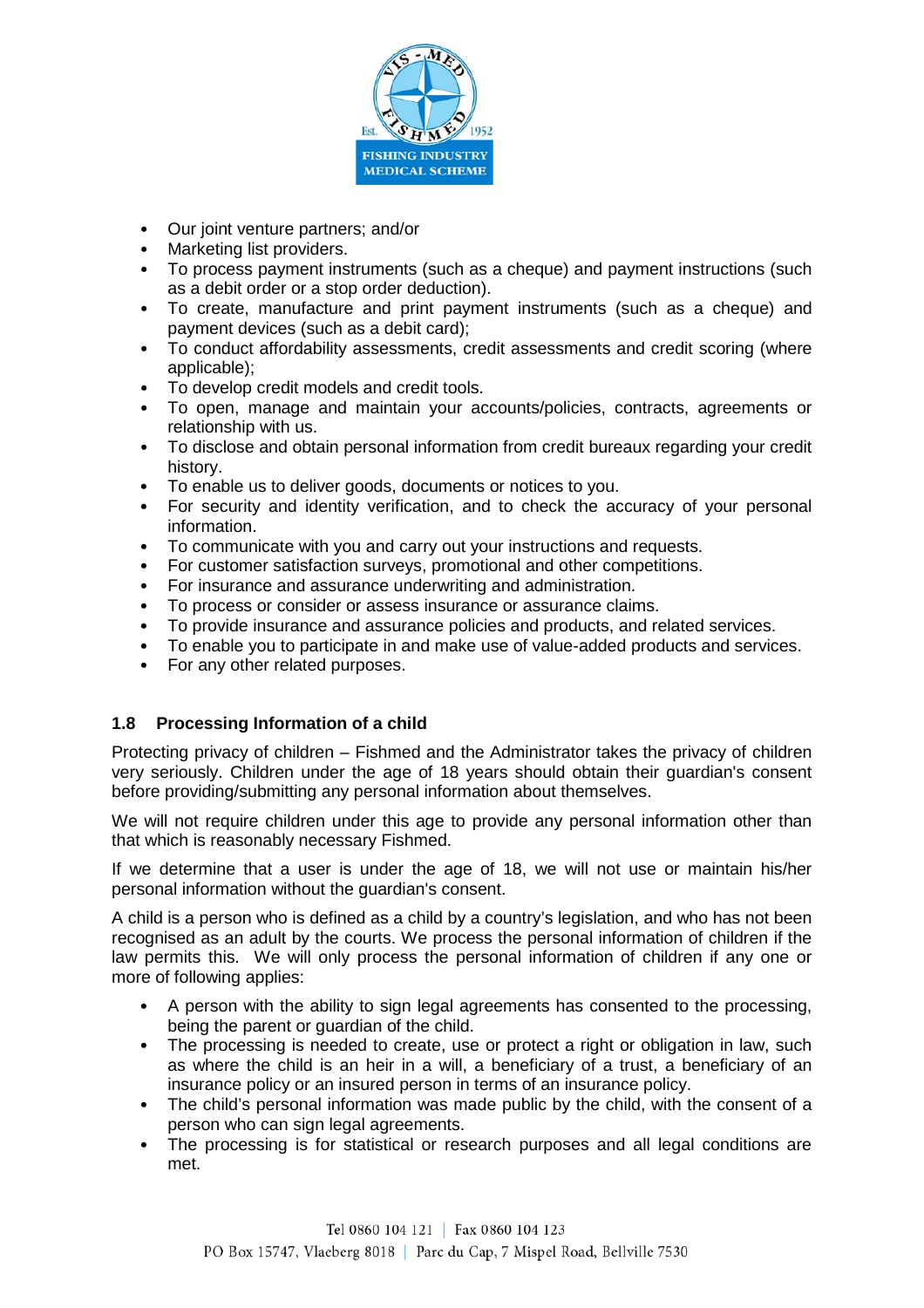

- Our joint venture partners; and/or
- Marketing list providers.
- To process payment instruments (such as a cheque) and payment instructions (such as a debit order or a stop order deduction).
- To create, manufacture and print payment instruments (such as a cheque) and payment devices (such as a debit card);
- To conduct affordability assessments, credit assessments and credit scoring (where applicable);
- To develop credit models and credit tools.<br>• To open manage and maintain your ac
- To open, manage and maintain your accounts/policies, contracts, agreements or relationship with us.
- To disclose and obtain personal information from credit bureaux regarding your credit history.
- To enable us to deliver goods, documents or notices to you.
- For security and identity verification, and to check the accuracy of your personal information.
- To communicate with you and carry out your instructions and requests.
- For customer satisfaction surveys, promotional and other competitions.
- For insurance and assurance underwriting and administration.
- To process or consider or assess insurance or assurance claims.
- To provide insurance and assurance policies and products, and related services.
- To enable you to participate in and make use of value-added products and services.
- For any other related purposes.

# **1.8 Processing Information of a child**

Protecting privacy of children – Fishmed and the Administrator takes the privacy of children very seriously. Children under the age of 18 years should obtain their guardian's consent before providing/submitting any personal information about themselves.

We will not require children under this age to provide any personal information other than that which is reasonably necessary Fishmed.

If we determine that a user is under the age of 18, we will not use or maintain his/her personal information without the guardian's consent.

A child is a person who is defined as a child by a country's legislation, and who has not been recognised as an adult by the courts. We process the personal information of children if the law permits this. We will only process the personal information of children if any one or more of following applies:

- A person with the ability to sign legal agreements has consented to the processing, being the parent or guardian of the child.
- The processing is needed to create, use or protect a right or obligation in law, such as where the child is an heir in a will, a beneficiary of a trust, a beneficiary of an insurance policy or an insured person in terms of an insurance policy.
- The child's personal information was made public by the child, with the consent of a person who can sign legal agreements.
- The processing is for statistical or research purposes and all legal conditions are met.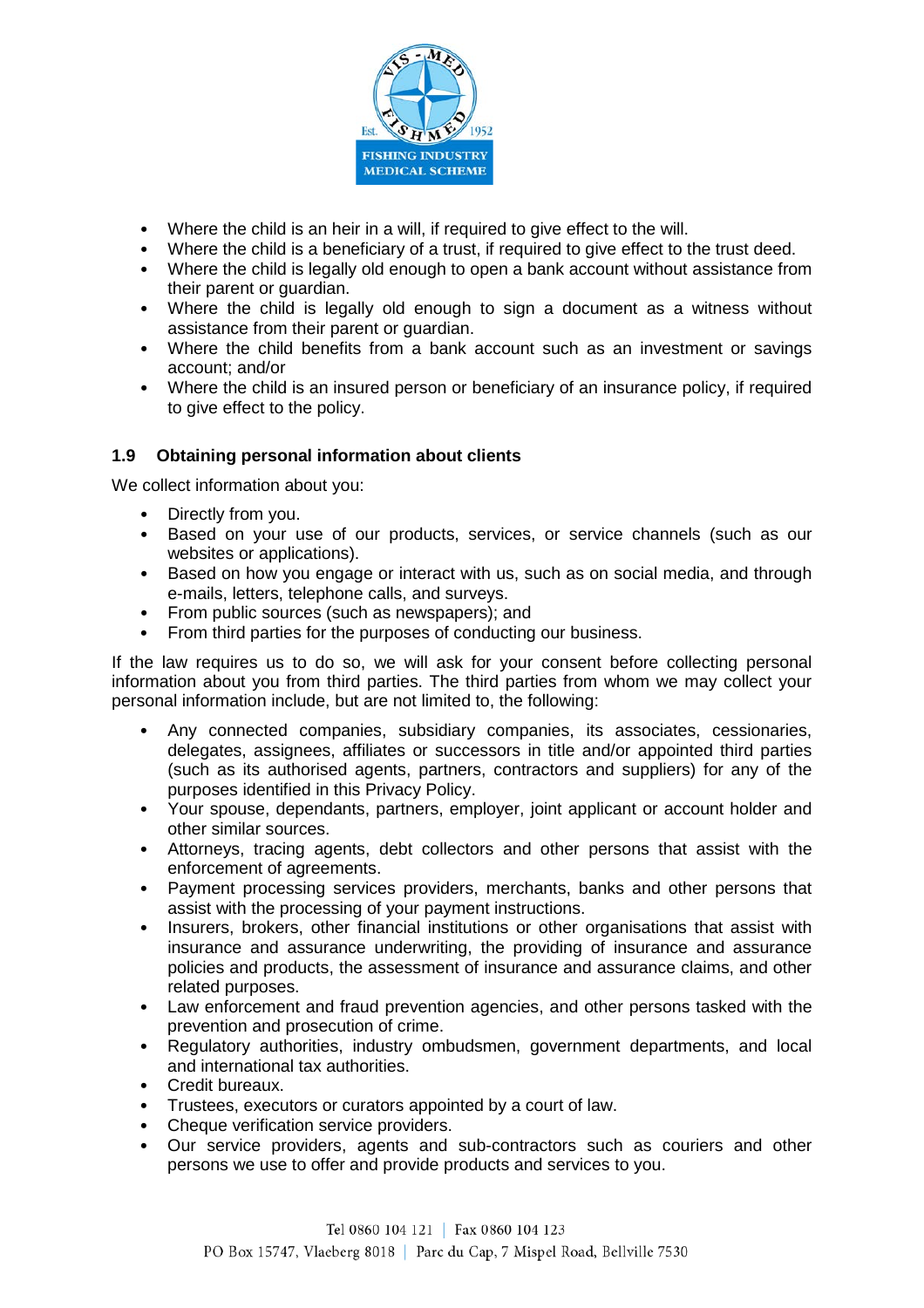

- Where the child is an heir in a will, if required to give effect to the will.
- Where the child is a beneficiary of a trust, if required to give effect to the trust deed.
- Where the child is legally old enough to open a bank account without assistance from their parent or quardian.
- Where the child is legally old enough to sign a document as a witness without assistance from their parent or guardian.
- Where the child benefits from a bank account such as an investment or savings account; and/or
- Where the child is an insured person or beneficiary of an insurance policy, if required to give effect to the policy.

### **1.9 Obtaining personal information about clients**

We collect information about you:

- Directly from you.
- Based on your use of our products, services, or service channels (such as our websites or applications).
- Based on how you engage or interact with us, such as on social media, and through e-mails, letters, telephone calls, and surveys.
- From public sources (such as newspapers); and
- From third parties for the purposes of conducting our business.

If the law requires us to do so, we will ask for your consent before collecting personal information about you from third parties. The third parties from whom we may collect your personal information include, but are not limited to, the following:

- Any connected companies, subsidiary companies, its associates, cessionaries, delegates, assignees, affiliates or successors in title and/or appointed third parties (such as its authorised agents, partners, contractors and suppliers) for any of the purposes identified in this Privacy Policy.
- Your spouse, dependants, partners, employer, joint applicant or account holder and other similar sources.
- Attorneys, tracing agents, debt collectors and other persons that assist with the enforcement of agreements.
- Payment processing services providers, merchants, banks and other persons that assist with the processing of your payment instructions.
- Insurers, brokers, other financial institutions or other organisations that assist with insurance and assurance underwriting, the providing of insurance and assurance policies and products, the assessment of insurance and assurance claims, and other related purposes.
- Law enforcement and fraud prevention agencies, and other persons tasked with the prevention and prosecution of crime.
- Regulatory authorities, industry ombudsmen, government departments, and local and international tax authorities.
- Credit bureaux.
- Trustees, executors or curators appointed by a court of law.
- Cheque verification service providers.
- Our service providers, agents and sub-contractors such as couriers and other persons we use to offer and provide products and services to you.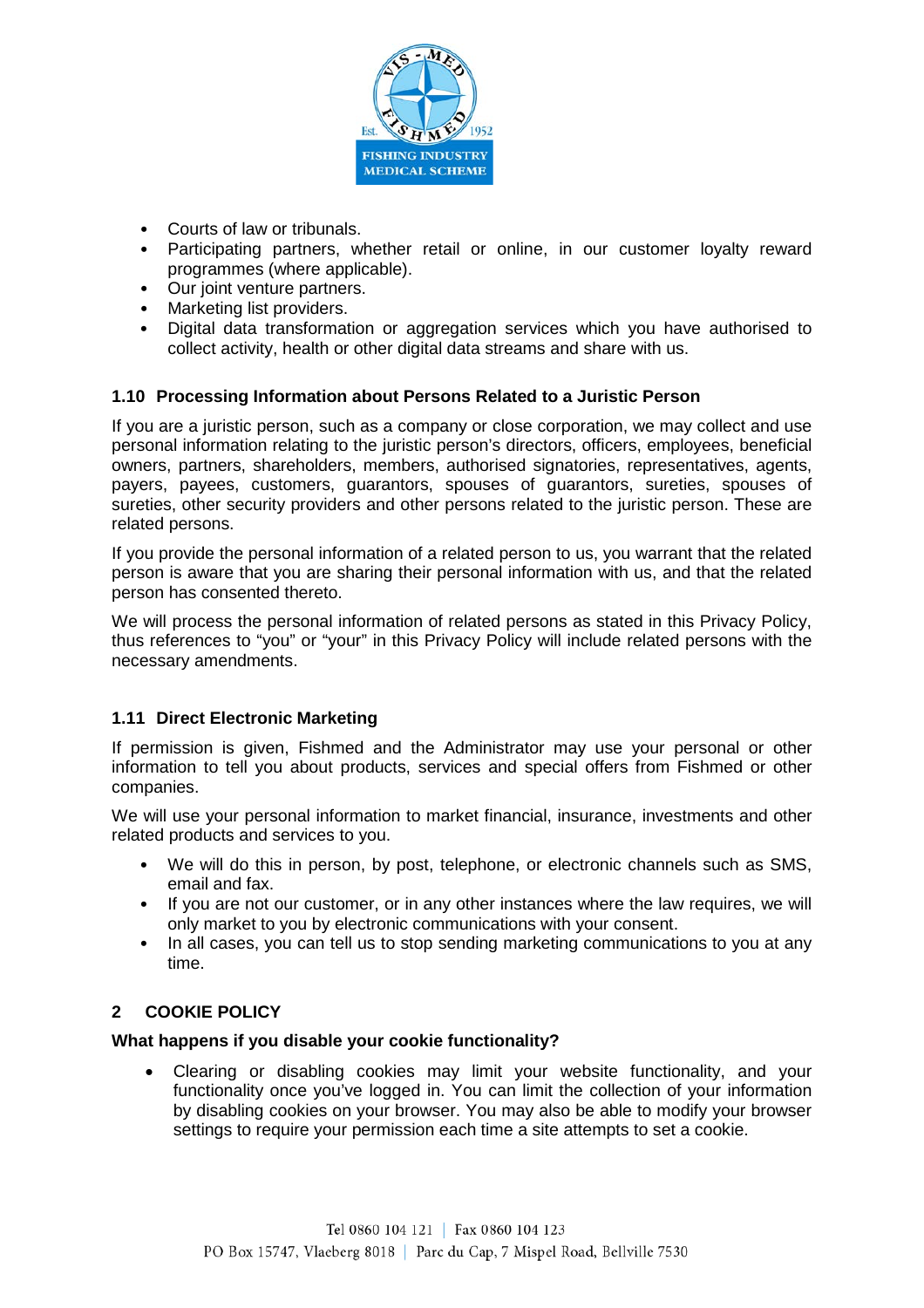

- Courts of law or tribunals.
- Participating partners, whether retail or online, in our customer loyalty reward programmes (where applicable).
- Our joint venture partners.
- Marketing list providers.
- Digital data transformation or aggregation services which you have authorised to collect activity, health or other digital data streams and share with us.

## **1.10 Processing Information about Persons Related to a Juristic Person**

If you are a juristic person, such as a company or close corporation, we may collect and use personal information relating to the juristic person's directors, officers, employees, beneficial owners, partners, shareholders, members, authorised signatories, representatives, agents, payers, payees, customers, guarantors, spouses of guarantors, sureties, spouses of sureties, other security providers and other persons related to the juristic person. These are related persons.

If you provide the personal information of a related person to us, you warrant that the related person is aware that you are sharing their personal information with us, and that the related person has consented thereto.

We will process the personal information of related persons as stated in this Privacy Policy, thus references to "you" or "your" in this Privacy Policy will include related persons with the necessary amendments.

### **1.11 Direct Electronic Marketing**

If permission is given, Fishmed and the Administrator may use your personal or other information to tell you about products, services and special offers from Fishmed or other companies.

We will use your personal information to market financial, insurance, investments and other related products and services to you.

- We will do this in person, by post, telephone, or electronic channels such as SMS, email and fax.
- If you are not our customer, or in any other instances where the law requires, we will only market to you by electronic communications with your consent.
- In all cases, you can tell us to stop sending marketing communications to you at any time.

# **2 COOKIE POLICY**

### **What happens if you disable your cookie functionality?**

• Clearing or disabling cookies may limit your website functionality, and your functionality once you've logged in. You can limit the collection of your information by disabling cookies on your browser. You may also be able to modify your browser settings to require your permission each time a site attempts to set a cookie.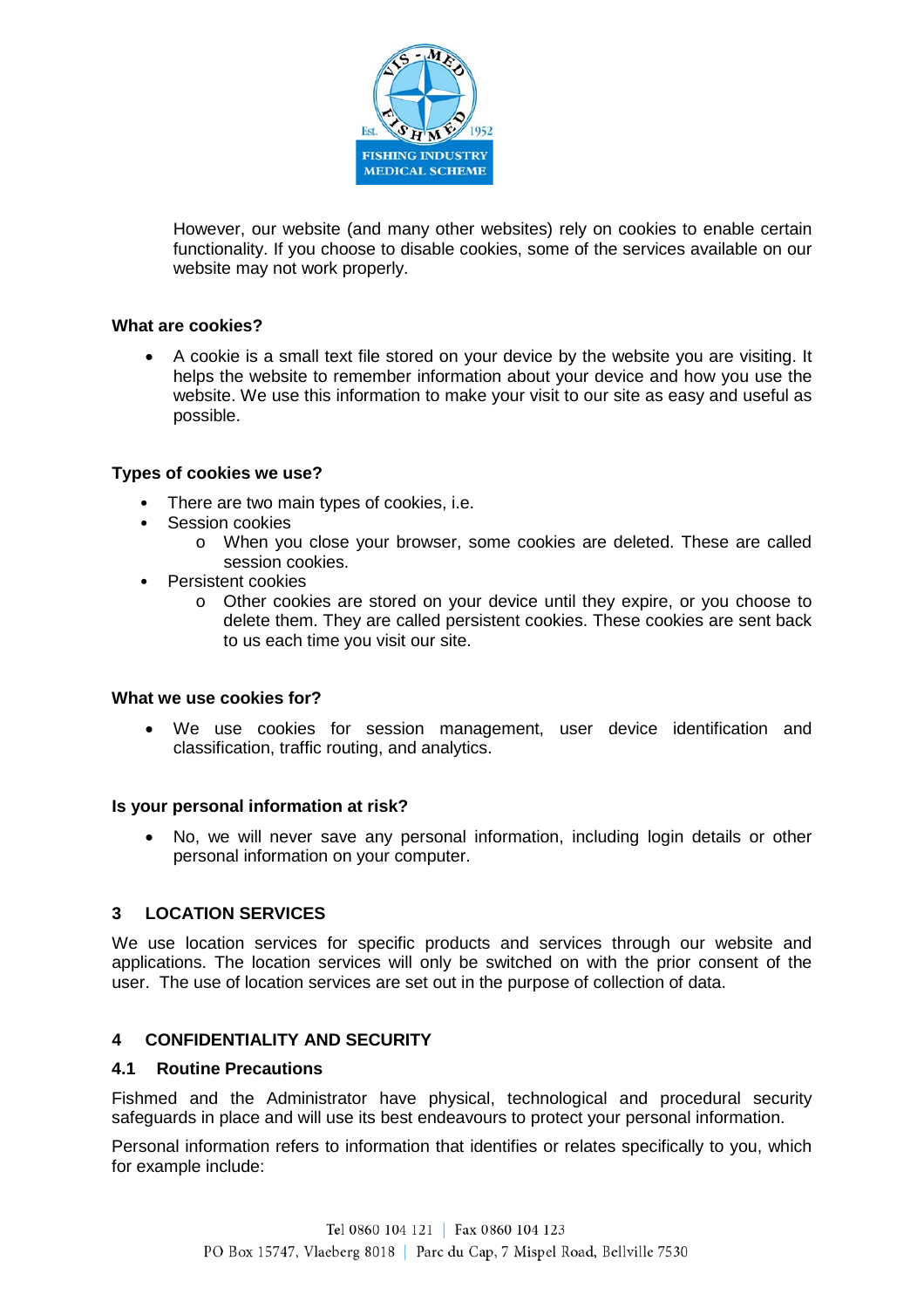

However, our website (and many other websites) rely on cookies to enable certain functionality. If you choose to disable cookies, some of the services available on our website may not work properly.

### **What are cookies?**

• A cookie is a small text file stored on your device by the website you are visiting. It helps the website to remember information about your device and how you use the website. We use this information to make your visit to our site as easy and useful as possible.

#### **Types of cookies we use?**

- There are two main types of cookies, i.e.
- Session cookies
	- o When you close your browser, some cookies are deleted. These are called session cookies.
- Persistent cookies
	- o Other cookies are stored on your device until they expire, or you choose to delete them. They are called persistent cookies. These cookies are sent back to us each time you visit our site.

#### **What we use cookies for?**

• We use cookies for session management, user device identification and classification, traffic routing, and analytics.

#### **Is your personal information at risk?**

• No, we will never save any personal information, including login details or other personal information on your computer.

#### **3 LOCATION SERVICES**

We use location services for specific products and services through our website and applications. The location services will only be switched on with the prior consent of the user. The use of location services are set out in the purpose of collection of data.

#### **4 CONFIDENTIALITY AND SECURITY**

#### **4.1 Routine Precautions**

Fishmed and the Administrator have physical, technological and procedural security safeguards in place and will use its best endeavours to protect your personal information.

Personal information refers to information that identifies or relates specifically to you, which for example include: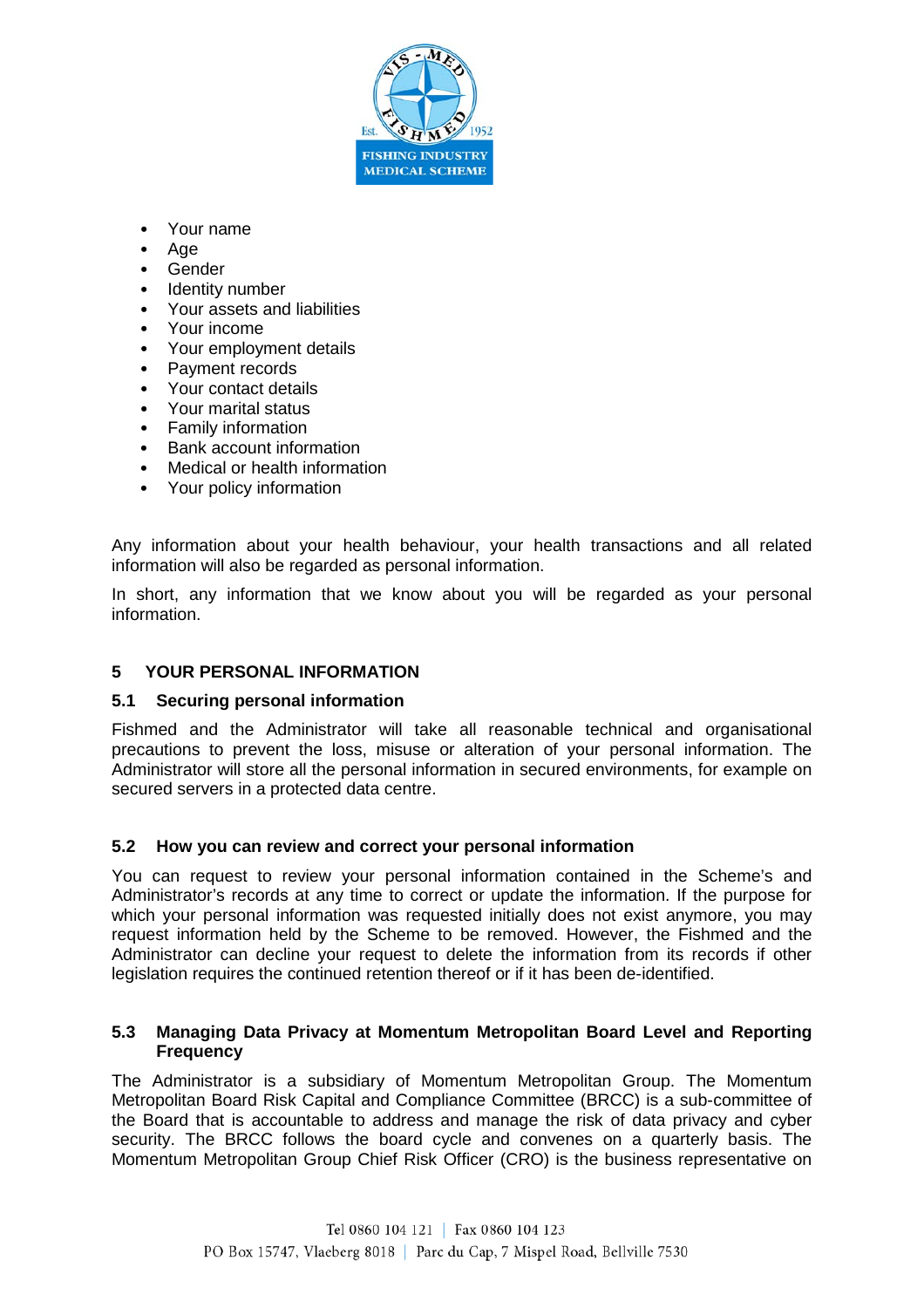

- Your name
- Age
- Gender
- Identity number
- Your assets and liabilities
- Your income
- Your employment details
- Payment records
- Your contact details
- Your marital status
- Family information
- Bank account information
- Medical or health information
- Your policy information

Any information about your health behaviour, your health transactions and all related information will also be regarded as personal information.

In short, any information that we know about you will be regarded as your personal information.

### **5 YOUR PERSONAL INFORMATION**

#### **5.1 Securing personal information**

Fishmed and the Administrator will take all reasonable technical and organisational precautions to prevent the loss, misuse or alteration of your personal information. The Administrator will store all the personal information in secured environments, for example on secured servers in a protected data centre.

#### **5.2 How you can review and correct your personal information**

You can request to review your personal information contained in the Scheme's and Administrator's records at any time to correct or update the information. If the purpose for which your personal information was requested initially does not exist anymore, you may request information held by the Scheme to be removed. However, the Fishmed and the Administrator can decline your request to delete the information from its records if other legislation requires the continued retention thereof or if it has been de-identified.

#### **5.3 Managing Data Privacy at Momentum Metropolitan Board Level and Reporting Frequency**

The Administrator is a subsidiary of Momentum Metropolitan Group. The Momentum Metropolitan Board Risk Capital and Compliance Committee (BRCC) is a sub-committee of the Board that is accountable to address and manage the risk of data privacy and cyber security. The BRCC follows the board cycle and convenes on a quarterly basis. The Momentum Metropolitan Group Chief Risk Officer (CRO) is the business representative on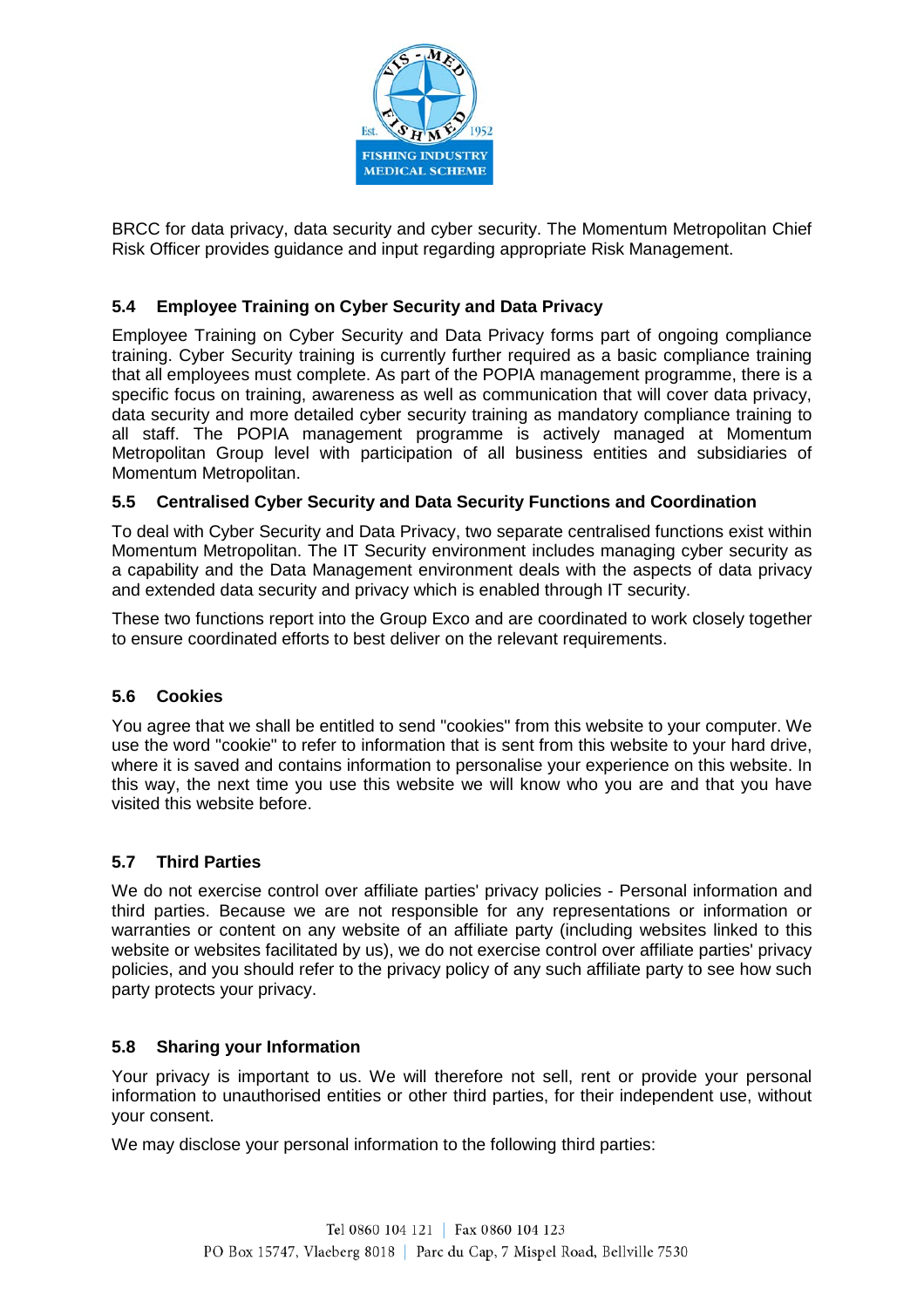

BRCC for data privacy, data security and cyber security. The Momentum Metropolitan Chief Risk Officer provides guidance and input regarding appropriate Risk Management.

# **5.4 Employee Training on Cyber Security and Data Privacy**

Employee Training on Cyber Security and Data Privacy forms part of ongoing compliance training. Cyber Security training is currently further required as a basic compliance training that all employees must complete. As part of the POPIA management programme, there is a specific focus on training, awareness as well as communication that will cover data privacy, data security and more detailed cyber security training as mandatory compliance training to all staff. The POPIA management programme is actively managed at Momentum Metropolitan Group level with participation of all business entities and subsidiaries of Momentum Metropolitan.

### **5.5 Centralised Cyber Security and Data Security Functions and Coordination**

To deal with Cyber Security and Data Privacy, two separate centralised functions exist within Momentum Metropolitan. The IT Security environment includes managing cyber security as a capability and the Data Management environment deals with the aspects of data privacy and extended data security and privacy which is enabled through IT security.

These two functions report into the Group Exco and are coordinated to work closely together to ensure coordinated efforts to best deliver on the relevant requirements.

### **5.6 Cookies**

You agree that we shall be entitled to send "cookies" from this website to your computer. We use the word "cookie" to refer to information that is sent from this website to your hard drive, where it is saved and contains information to personalise your experience on this website. In this way, the next time you use this website we will know who you are and that you have visited this website before.

### **5.7 Third Parties**

We do not exercise control over affiliate parties' privacy policies - Personal information and third parties. Because we are not responsible for any representations or information or warranties or content on any website of an affiliate party (including websites linked to this website or websites facilitated by us), we do not exercise control over affiliate parties' privacy policies, and you should refer to the privacy policy of any such affiliate party to see how such party protects your privacy.

### **5.8 Sharing your Information**

Your privacy is important to us. We will therefore not sell, rent or provide your personal information to unauthorised entities or other third parties, for their independent use, without your consent.

We may disclose your personal information to the following third parties: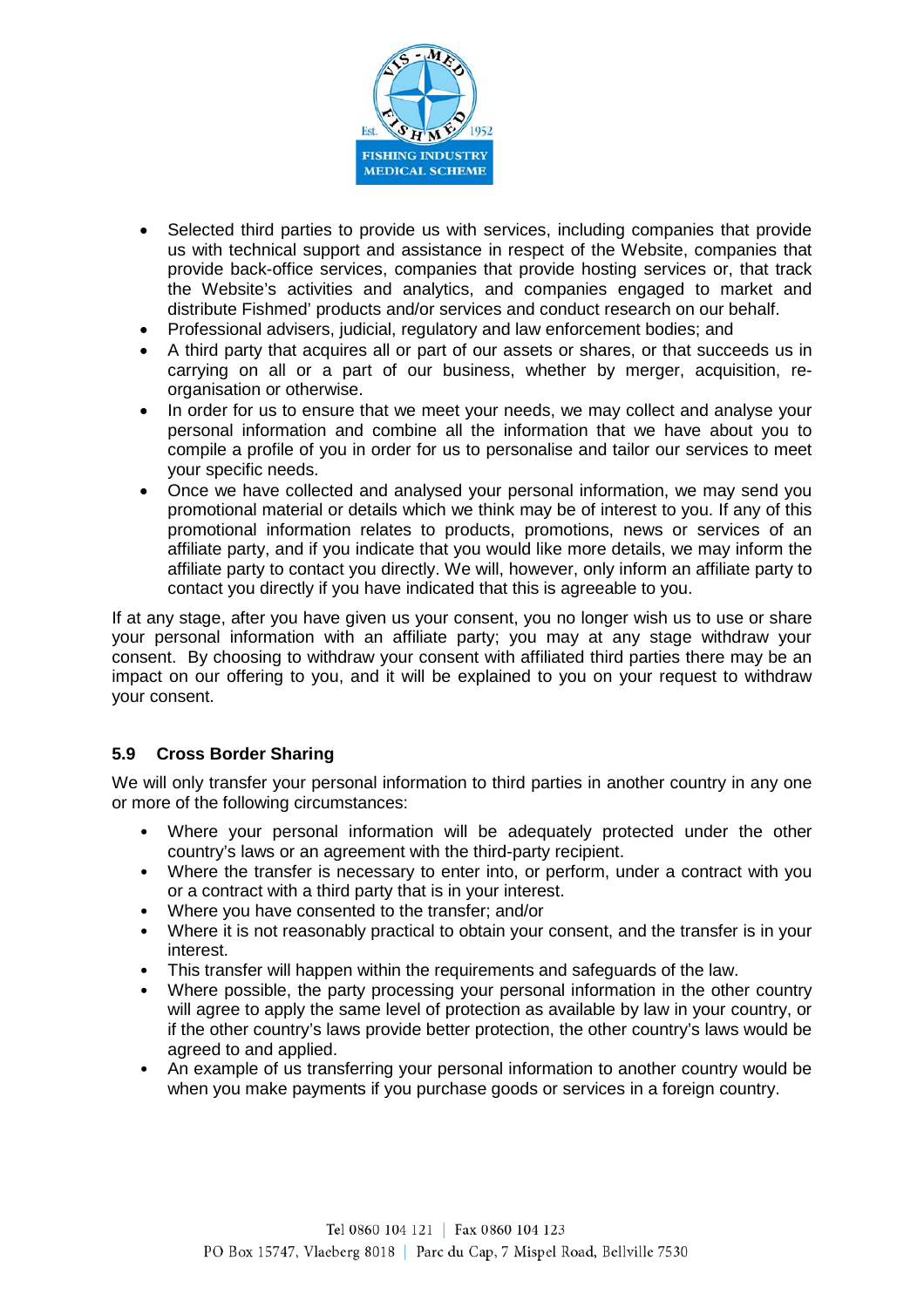

- Selected third parties to provide us with services, including companies that provide us with technical support and assistance in respect of the Website, companies that provide back-office services, companies that provide hosting services or, that track the Website's activities and analytics, and companies engaged to market and distribute Fishmed' products and/or services and conduct research on our behalf.
- Professional advisers, judicial, regulatory and law enforcement bodies; and
- A third party that acquires all or part of our assets or shares, or that succeeds us in carrying on all or a part of our business, whether by merger, acquisition, reorganisation or otherwise.
- In order for us to ensure that we meet your needs, we may collect and analyse your personal information and combine all the information that we have about you to compile a profile of you in order for us to personalise and tailor our services to meet your specific needs.
- Once we have collected and analysed your personal information, we may send you promotional material or details which we think may be of interest to you. If any of this promotional information relates to products, promotions, news or services of an affiliate party, and if you indicate that you would like more details, we may inform the affiliate party to contact you directly. We will, however, only inform an affiliate party to contact you directly if you have indicated that this is agreeable to you.

If at any stage, after you have given us your consent, you no longer wish us to use or share your personal information with an affiliate party; you may at any stage withdraw your consent. By choosing to withdraw your consent with affiliated third parties there may be an impact on our offering to you, and it will be explained to you on your request to withdraw your consent.

# **5.9 Cross Border Sharing**

We will only transfer your personal information to third parties in another country in any one or more of the following circumstances:

- Where your personal information will be adequately protected under the other country's laws or an agreement with the third-party recipient.
- Where the transfer is necessary to enter into, or perform, under a contract with you or a contract with a third party that is in your interest.
- Where you have consented to the transfer; and/or
- Where it is not reasonably practical to obtain your consent, and the transfer is in your interest.
- This transfer will happen within the requirements and safeguards of the law.
- Where possible, the party processing your personal information in the other country will agree to apply the same level of protection as available by law in your country, or if the other country's laws provide better protection, the other country's laws would be agreed to and applied.
- An example of us transferring your personal information to another country would be when you make payments if you purchase goods or services in a foreign country.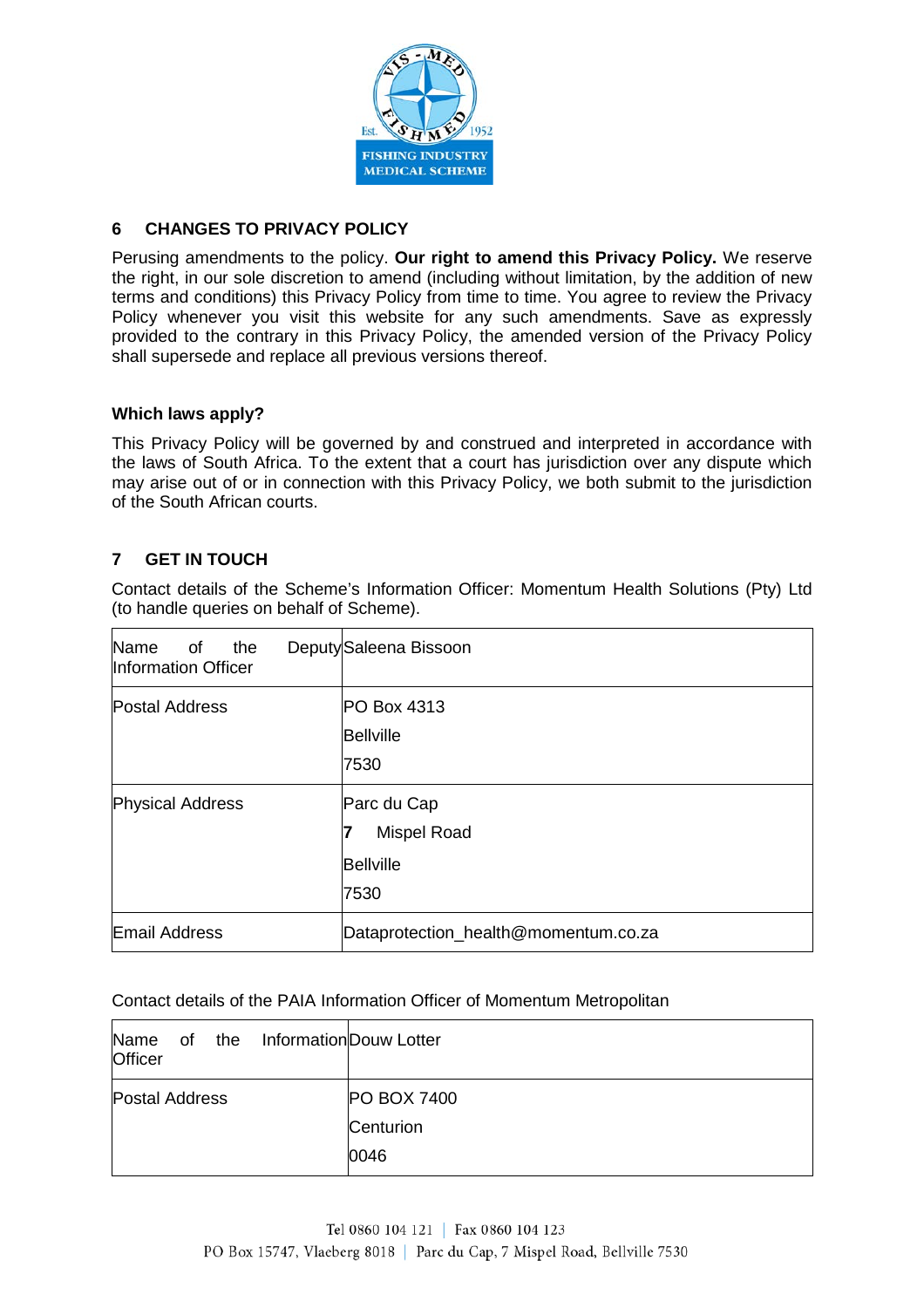

## **6 CHANGES TO PRIVACY POLICY**

Perusing amendments to the policy. **Our right to amend this Privacy Policy.** We reserve the right, in our sole discretion to amend (including without limitation, by the addition of new terms and conditions) this Privacy Policy from time to time. You agree to review the Privacy Policy whenever you visit this website for any such amendments. Save as expressly provided to the contrary in this Privacy Policy, the amended version of the Privacy Policy shall supersede and replace all previous versions thereof.

### **Which laws apply?**

This Privacy Policy will be governed by and construed and interpreted in accordance with the laws of South Africa. To the extent that a court has jurisdiction over any dispute which may arise out of or in connection with this Privacy Policy, we both submit to the jurisdiction of the South African courts.

# **7 GET IN TOUCH**

Contact details of the Scheme's Information Officer: Momentum Health Solutions (Pty) Ltd (to handle queries on behalf of Scheme).

| Name<br>the<br>0f<br>Information Officer | Deputy Saleena Bissoon                                        |
|------------------------------------------|---------------------------------------------------------------|
| <b>Postal Address</b>                    | PO Box 4313<br><b>Bellville</b><br>7530                       |
| <b>Physical Address</b>                  | Parc du Cap<br><b>Mispel Road</b><br><b>Bellville</b><br>7530 |
| Email Address                            | Dataprotection_health@momentum.co.za                          |

### Contact details of the PAIA Information Officer of Momentum Metropolitan

| InformationDouw Lotter<br>Name<br>the<br>of<br><b>Officer</b> |                    |
|---------------------------------------------------------------|--------------------|
| Postal Address                                                | <b>PO BOX 7400</b> |
|                                                               | Centurion          |
|                                                               | 0046               |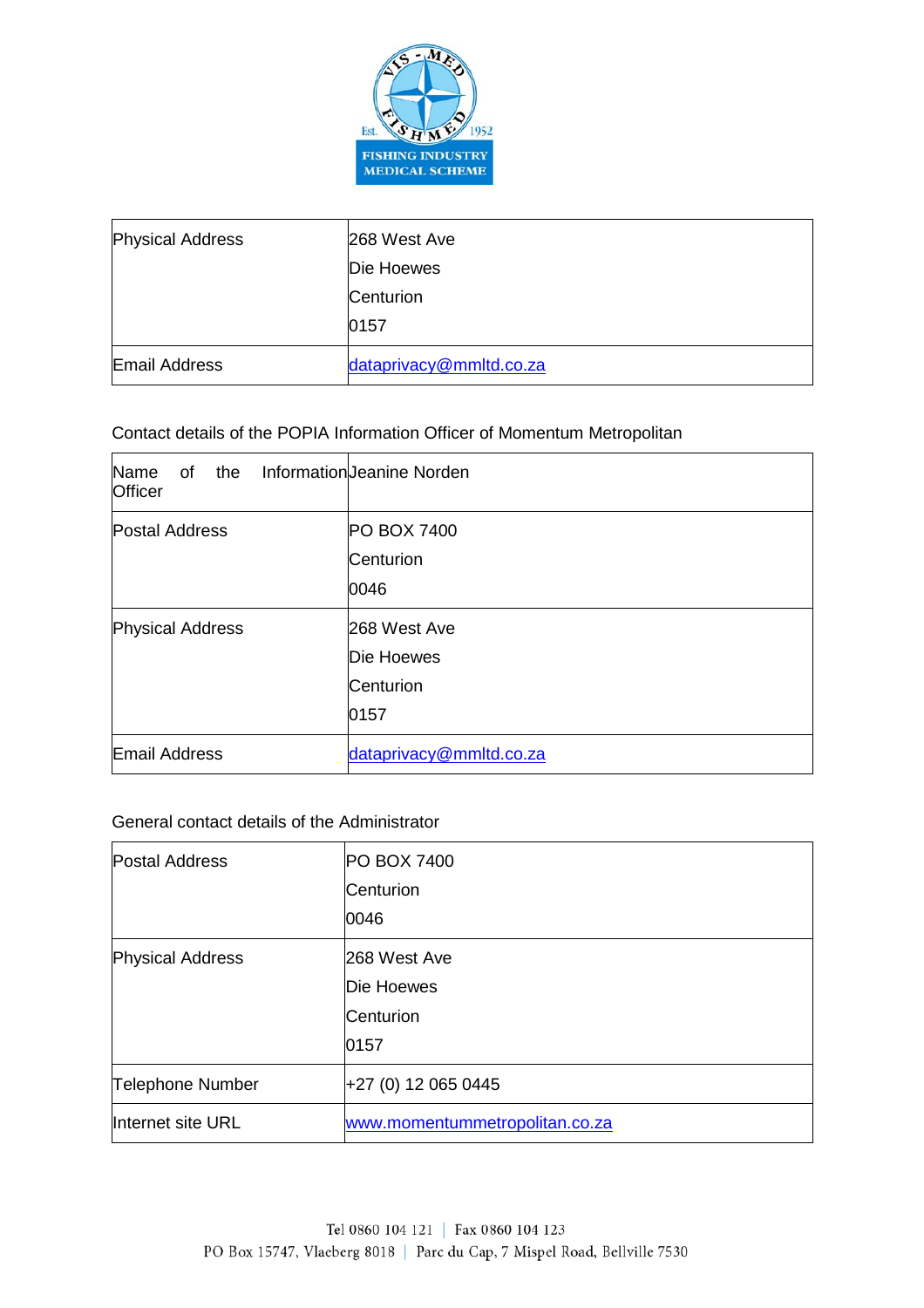

| <b>Physical Address</b> | 268 West Ave            |
|-------------------------|-------------------------|
|                         | Die Hoewes              |
|                         | Centurion               |
|                         | 0157                    |
| <b>Email Address</b>    | dataprivacy@mmltd.co.za |

## Contact details of the POPIA Information Officer of Momentum Metropolitan

| Name<br>of the<br><b>Officer</b> | Information Jeanine Norden                      |
|----------------------------------|-------------------------------------------------|
| <b>Postal Address</b>            | <b>PO BOX 7400</b><br>Centurion<br>0046         |
| <b>Physical Address</b>          | 268 West Ave<br>Die Hoewes<br>Centurion<br>0157 |
| Email Address                    | dataprivacy@mmltd.co.za                         |

### General contact details of the Administrator

| <b>Postal Address</b>   | PO BOX 7400                    |
|-------------------------|--------------------------------|
|                         | Centurion                      |
|                         | 0046                           |
| <b>Physical Address</b> | 268 West Ave                   |
|                         | Die Hoewes                     |
|                         | <b>Centurion</b>               |
|                         | 0157                           |
| <b>Telephone Number</b> | +27 (0) 12 065 0445            |
| Internet site URL       | www.momentummetropolitan.co.za |